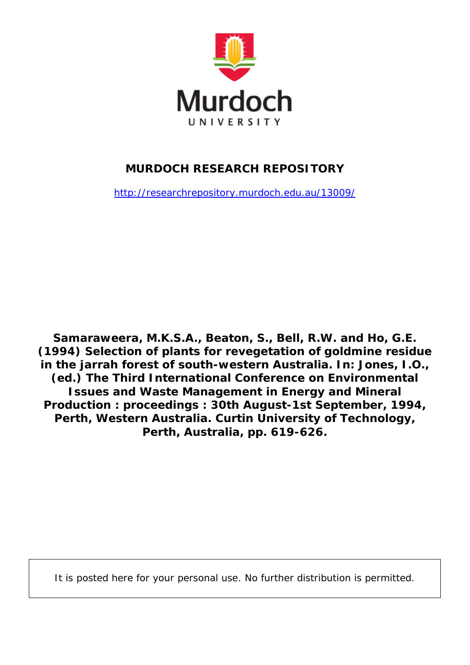

# **MURDOCH RESEARCH REPOSITORY**

<http://researchrepository.murdoch.edu.au/13009/>

**Samaraweera, M.K.S.A., Beaton, S., Bell, R.W. and Ho, G.E. (1994)** *Selection of plants for revegetation of goldmine residue in the jarrah forest of south-western Australia.* **In: Jones, I.O., (ed.) The Third International Conference on Environmental Issues and Waste Management in Energy and Mineral Production : proceedings : 30th August-1st September, 1994, Perth, Western Australia. Curtin University of Technology, Perth, Australia, pp. 619-626.**

It is posted here for your personal use. No further distribution is permitted.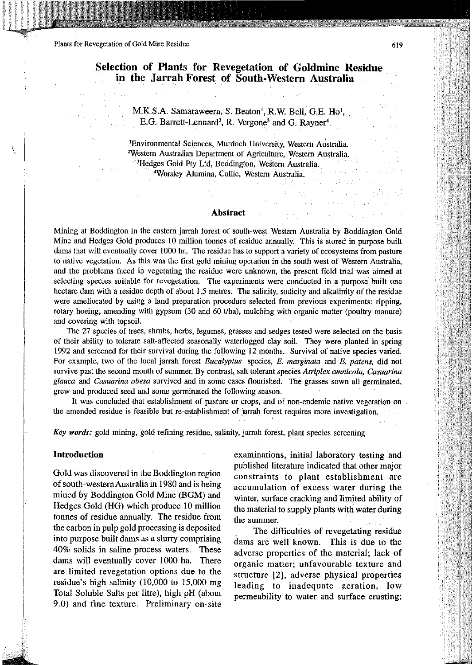ki kal

## Selection of Plants for Revegetation of Goldmine Residne in the Jarrah Forest of South-Western Australia

M.K.S.A. Samaraweera, S. Beaton<sup>1</sup>, R.W. Bell, G.E. Ho<sup>1</sup>, E.G. Barrett-Lennard', R. Vergone' and G. Rayner'

lEnvironmental Sciences, Murdoch University, Western Australia. 2Western Australian Department of Agriculture, Western Australia. <sup>3</sup>Hedges Gold Pty Ltd, Boddington, Western Australia. 4Worsley Alumina, Collie, Western Australia.

## Abstract and in the second state degree and process of a

Mining at Boddington in the eastern jarrah forest of south-west Western Australia by Boddington Gold Mine and Hedges Gold produces 10 million tonnes of residue annually, This is stored in purpose built dams that will eventually cover 1000 ha. The residue has to support a variety of ecosystems from pasture to native vegetation. As this was the first gold mining operation in the south west of Western Australia, and the problems faced in vegetating the residue were unknown, the present field trial was aimed at selecting species suitable for revegetation. The experiments were conducted in a purpose built one hectare dam with a residue depth of about 1.5 metres. The salinity, sodicity and alkalinity of the residue were ameliorated by using a land preparation procedure selected from previous experiments: ripping, rotary hoeing, amending with gypsum (30 and 60 t/ha), mulching with organic matter (poultry manure) and covering with topsoil.

The 27 species of trees, shrubs, herbs, legumes, grasses and sedges tested were selected on the basis of their ability to tolerate salt-affected seasonally waterlogged clay soil. They were planted in spring 1992 and screened for their survival during the following 12 months. Survival of native species varied. For example, two of the local jarrah forest *Eucalyptus* species, *E. marginata* and *E. patens,* did not survive past the second month of summer. By contrast, salt tolerant species *Atriplex amnicala, Casuarina glauca* and *Casuarina ahesa* survived and in some cases flourished. The grasses sown all germinated, grew and produced seed and some germinated the following season.

It was concluded that establishment of pasture or crops, and of non-endemic native vegetation on the amended residue is feasible but re-establishment of jarrah forest requires more investigation.

*Key words:* gold mining, gold refining residue, salinity, jarrah forest, plant species screening

## Introduction

Gold was discovered in the Boddington region of south-western Australia in 1980 and is being mined by Boddington Gold Mine (BGM) and Hedges Gold (HG) which produce 10 million tonnes of residue annually. The residue from the carbon in pulp gold processing is deposited into purpose built dams as a slurry comprising 40% solids in saline process waters. These dams will eventually cover 1000 ha. There are limited revegetation options due to the residue's high salinity (10,000 to 15,000 mg Total Soluble Salts per litre), high pH (about 9.0) and fine texture. Preliminary on-site examinations, initial laboratory testing and published literature indicated that other major constraints to plant establishment are accumulation of excess water during the winter, surface cracking and limited ability of the material to supply plants with water during the summer.

医全身性 医不动脉 医异常性 The second present account you for power and some year

The difficulties of revegetating residue dams are well known. This is due to the adverse properties of the material; lack of organic matter; unfavourable texture and structure [2], adverse physical properties leading to inadequate aeration, low permeability to water and surface crusting;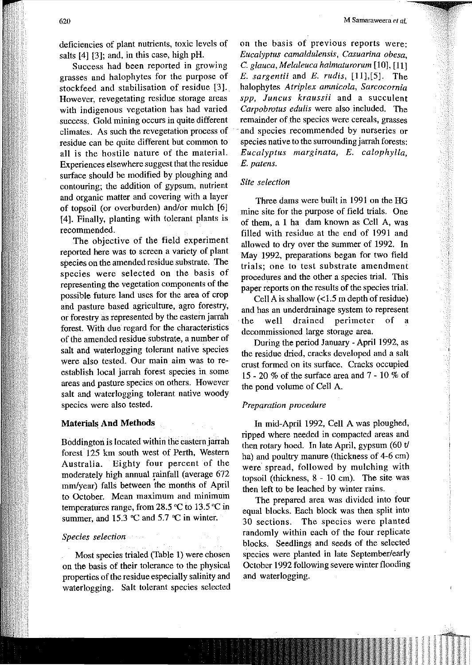deficiencies of plant nutrients, toxic levels of salts [4] [3]; and, in this case, high pH.

Success had been reported in growing grasses and halophytes for the purpose of stockfeed and stabilisation of residue [3]. **However, revegetating residue storage areas with indigenous vegetation has had varied success. Gold mining occurs in quite different climates. As such the revegetation process of residue can be quite different but common to**  all is the hostile nature of the material. **Experiences elsewhere suggest that the residue**  surface should be modified by ploughing and contouring; the addition of gypsum, nutrient **and organic matter and covering with a layer**  of topsoil (or overburden) and/or mulch [6] [4]. Finally, planting with tolerant plants is **recommended.** 

The objective of the field experiment **reported here was to screen a variety of plant species on the amended residue substrate. The species were selected on the basis of representing the vegetation components of the**  possible future land uses for the area of crop and pasture based agriculture, agro forestry, or forestry as represented by the eastern jarrah forest. With due regard for the characteristics of the amended residue substrate, a number of salt and waterlogging tolerant native species were also tested. Our main aim was to reestablish local jarrah forest species in some **areas and pasture species on others. However**  salt and waterlogging tolerant native woody **species were also tested.** 

#### Materials **And** Methods

Boddington is located within the eastern jarrah forest 125 km south west of Perth, Western Australia. Eighty four percent of the moderately high annual rainfall (average 672 mm/year) falls between ihe months of April **to October. Mean maximum and minimum**  temperatures range, from 28.5 °C to 13.5 °C in summer, and 15.3 °C and 5.7 °C in winter.

## *Species selection*

Most species trialed (Table I) were chosen on the basis of their tolerance to the physical properties of the residue especially salinity and waterlogging. Salt tolerant species selected **on the basis of previous reports were:**  *Eucalyptus camaldulensis, Casuarina obesa,*  C. *glauca, Melaleuca halmaturorum* [10], [11] *E. sargentii* and *E. rudis,* [11],[5]. The **halophytes** *Atriplex amnicola, Sarcocornia spp, ]uncus kraussii* **and a succulent**  *Carpobrotus edulis* were also included. The **remainder of the species were cereals, grasses and species recommended by nurseries or**  species native to the surrounding jarrah forests: *Eucalyptus marginata, E. calophyl/a, E. patens.* 

## *Site selection*

Three dams were built in 1991 on the HG mine site for the purpose of field trials. One of them, a I ha dam known as Cell A, was filled with residue at the end of 1991 and allowed to dry over the summer of 1992. In May 1992, preparations began for two field **trials; one to test substrate amendment**  procedures and the other a species trial. This paper reports on the results of the species trial.

Cell A is shallow  $\left($  < 1.5 m depth of residue) **and has an underdrainage system to represent**  the well drained perimeter of a **decommissioned large storage area.** 

During the period January -April 1992, as the residue dried, cracks developed and a salt **crust formed on its surface. Cracks occupied**  15 - 20 % of the surface area and 7 - 10 % of the pond volume of Cell A.

#### *Preparation procedure*

In mid-April 1992, Cell A was ploughed, ripped where needed in compacted areas and then rotary hoed. In late April, gypsum (60  $t/$ ha) and poultry manure (thickness of 4-6 cm) were spread, followed by mulching with topsoil (thickness, 8 - 10 cm). The site was then left to be leached by winter rains.

The prepared area was divided into four equal blocks. Each block was then split into 30 sections. The species were planted randomly within each of the four replicate blocks. Seedlings and seeds of the selected species were planted in late September/early October 1992 following severe winter flooding and waterlogging.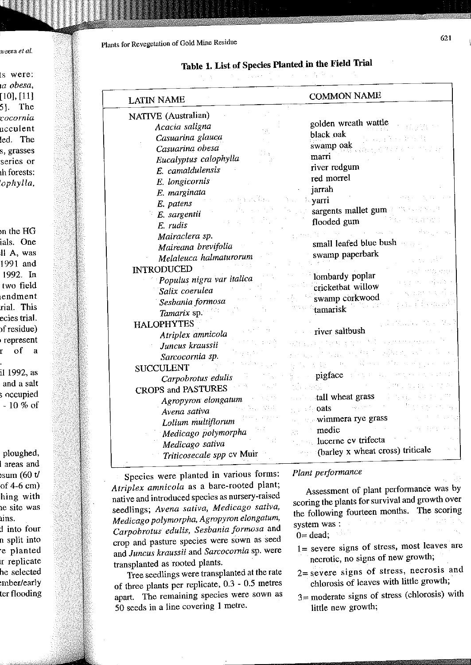# Table 1. List of Species Planted in the Field Trial

| NATIVE (Australian)       |                                  |
|---------------------------|----------------------------------|
| Acacia saligna            | golden wreath wattle             |
| Æ<br>Casuarina glauca     | black oak                        |
| Casuarina obesa           | swamp oak                        |
| Eucalyptus calophylla     | marri                            |
| E. camaldulensis          | river redgum                     |
| E. longicornis            | red morrel                       |
| E marginata               | jarrah                           |
| E. patens                 | varri                            |
| E. sargentii              | sargents mallet gum              |
| E. rudis                  | flooded gum                      |
| Mairaclera sp.            |                                  |
| Maireana brevifolia       | small leafed blue bush           |
| Melaleuca halmaturorum    | swamp paperbark                  |
| <b>INTRODUCED</b>         |                                  |
| Populus nigra var italica | lombardy poplar                  |
| Salix coerulea            | cricketbat willow                |
| Sesbania formosa          | swamp corkwood                   |
| Tamarix sp.               | tamarisk                         |
| <b>HALOPHYTES</b>         |                                  |
| Atriplex amnicola         | river saltbush                   |
| Juncus kraussii           | الأستعجبين                       |
| Sarcocornia sp.           | 311                              |
| <b>SUCCULENT</b>          |                                  |
| Carpobrotus edulis        | pigface                          |
| <b>CROPS and PASTURES</b> |                                  |
| Agropyron elongatum       | tall wheat grass<br>assault of   |
| Avena sativa              | $\therefore$ oats                |
| Lolium multiflorum        | wimmera rye grass                |
| Medicago polymorpha       | medic<br>din.                    |
| Medicago sativa           | lucerne cv trifecta              |
| Triticosecale spp cv Muir | (barley x wheat cross) triticale |

Species were planted in various forms: *Atriplex amnicola* as a bare-rooted plant; native and introduced species as nursery-raised seedlings; *Avena sativa, Medicago sativa, Medicago polymorpha, Agropyron elongatum, Carpobrotus edulis, Sesbania formosa* and crop and pasture species were sown as seed and *Juncus kraussii* and *Sarcocomia* sp. were transplanted as rooted plants.

Tree seedlings were transplanted at the rate of three plants per replicate, 0.3 - 0.5 metres apart. The remaining species were sown as 50 seeds in a line covering 1 metre.

# *Plant performance*

Assessment of plant performance was by scoring the plants for survival and growth over the following fourteen months. The scoring system was:<br> $0 = \text{dead:}$  $0 =$  dead;

- 1= severe signs of stress, most leaves are necrotic, no signs of new growth;
- $2$ = severe signs of stress, necrosis and chlorosis of leaves with little growth;
- $3=$  moderate signs of stress (chlorosis) with little new growth;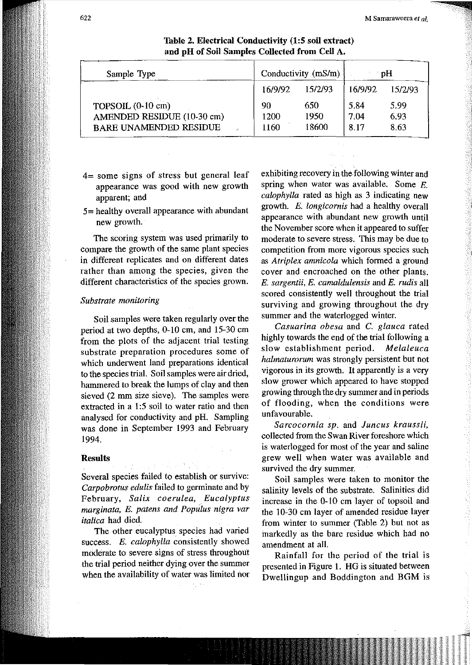| Sample Type                                                                      |                    | Conductivity (mS/m)  | pH                   |                      |
|----------------------------------------------------------------------------------|--------------------|----------------------|----------------------|----------------------|
|                                                                                  | 16/9/92            | 15/2/93              | 16/9/92              | 15/2/93              |
| TOPSOIL (0-10 cm)<br>AMENDED RESIDUE (10-30 cm)<br><b>BARE UNAMENDED RESIDUE</b> | 90<br>1200<br>1160 | 650<br>1950<br>18600 | 5.84<br>7.04<br>8.17 | 5.99<br>6.93<br>8.63 |

## Table 2. Electrical Conductivity (1:5 soil extract) and **pH** of Soil Samples Collected from Cell A.

- 4= some signs of stress but general leaf appearance was good with new growth **apparent; and**
- 5= healthy overall appearance with abundant new growth.

**The scoring system was used primarily to**  compare the growth of the same plant species in different replicates and on different dates **rather than among the species, given the different characteristics of the species grown.** 

## *Substrate monitoring*

Soil samples were taken regularly over the period at two depths, 0-10 cm, and 15-30 cm from the plots of the adjacent trial testing **substrate preparation procedures some of**  which underwent land preparations identical to the species trial. Soil samples were air dried, hammered to break the lumps of clay and then sieved (2 mm size sieve). The samples were **extracted in a 1:5 soil to water ratio and then**  analysed for conductivity and pH. Sampling was done in September 1993 and February 1994.

#### **Results**

**Several species failed to establish or survive:**  *Carpobrotus edulis* failed to germinate and by February, *Salix coerulea, Eucalyptus marginata,* **E.** *patens and Populus nigra var italica* had died.

The other eucalyptus species had varied success. *E. calophylla* consistently showed **moderate to severe signs of stress throughout**  the trial period neither dying over the summer when the availability of water was limited nor exhibiting recovery in the following winter and **spring when water was available. Some E.**  *calophylla* rated as high as 3 indicating new growth. E. *longicornis* had a healthy overall **appearance with abundant new growth until**  the November score when it appeared to suffer **moderate to severe stress. This may be due to competition from more vigorous species such**  as *Atriplex amnicola* which formed a ground cover and encroached on the other plants. *E. sargentii,* E. *camaldulensis* and *E. rudis* all scored consistently well throughout the trial surviving and growing throughout the dry **summer and the waterlogged winter.** 

*Casuarina obesa* and C. *glauca* rated highly towards the end of the trial following a slow establishment period. *Melaleuca halmaturorum* was strongly persistent but not vigorous in its growth. It apparently is a very slow grower which appeared to have stopped growing through the dry summer and in periods of flooding, when the conditions were unfavourable.

*Sarcocornia sp.* **and** *Juncus kraussii,*  collected from the Swan River foreshore which is waterlogged for most of the year and saline grew well when water was available and **survived the dry summer.** 

**Soil samples were taken to monitor the**  salinity levels of the substrate. Salinities did increase in the 0-10 cm layer of topsoil and the 10-30 cm layer of amended residue layer from winter to summer (Table 2) but not as markedly as the bare residue which had no amendment at all.

Rainfall for the period of the trial is presented in Figure I. HG is situated between Dwellingup and Boddington and BGM is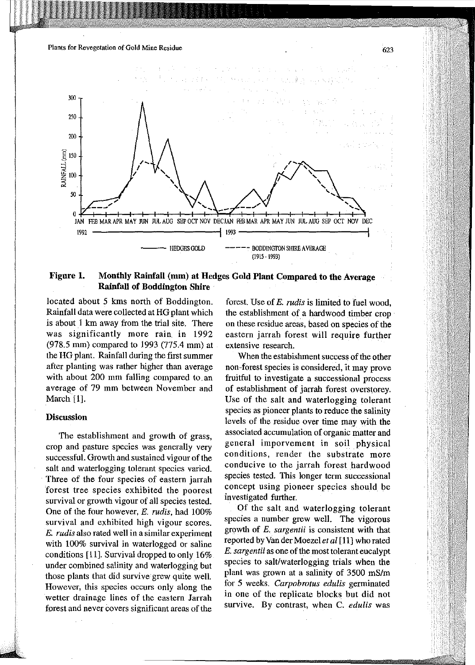

## Figure 1. Monthly Rainfall (mm) at Hedges Gold Plant Compared to the Average Rainfall of Boddlngton Shire

located about 5 kms north of Boddington. Rainfall data were collected at HG plant which is about 1 km away from the trial site. There was significantly more rain. in 1992 (978.5 mm) compared to 1993 (775.4 mm) at the HG plant. Rainfall during the first summer after planting was rather higher than average with about 200 mm falling compared to an average of 79 mm between November and March [1].

## **Discussion**

The establishment and growth of grass, crop and pasture species was generally very successful. Growth and sustained vigour of the salt and waterlogging tolerant species varied. Three of the four species of eastern jarrah forest tree species exhibited the poorest survival or growth vigour of all species tested. One of the four however, E. *rudis,* had 100% survival and exhibited high vigour scores. *E. rudis* also rated well in a similar experiment with 100% survival in waterlogged or saline conditions [II]. Survival dropped to only 16% under combined salinity and waterlogging but those plants that did survive grew quite well. However, this species occurs only along the wetter drainage lines of the eastern Jarrah forest and never covers significant areas of the

forest. Use of *E. rudis* is limited to fuel wood, the establishment of a hardwood timber crop on these residue areas, based on species of the eastern jarrah forest will require further extensive research.

When the estabishment success of the other non-forest species is. considered, it may prove fruitful to investigate a successional process of establishment of jarrah forest overstorey. Use of the salt and waterlogging tolerant species as pioneer plants to reduce the salinity levels of the residue over time may with the associated accumulation of organic matter and general imporvement in soil physical conditions, render the substrate more conducive to the jarrah forest hardwood species tested. This longer term successional concept using pioneer species should be investigated further.

Of the salt and waterlogging tolerant species a number grew well. The vigorous growth of *E. sargentii* is consistent with that reported by Van der *Moezelet al* [11] who rated *E. sargentii* as one of the most tolerant eucalypt species to salt/waterlogging trials when the plant was grown at a salinity of 3500 mS/m for 5 weeks. *Carpobrotus edulis* germinated in one of the replicate blocks but did not survive. By contrast, when C. *edulis* was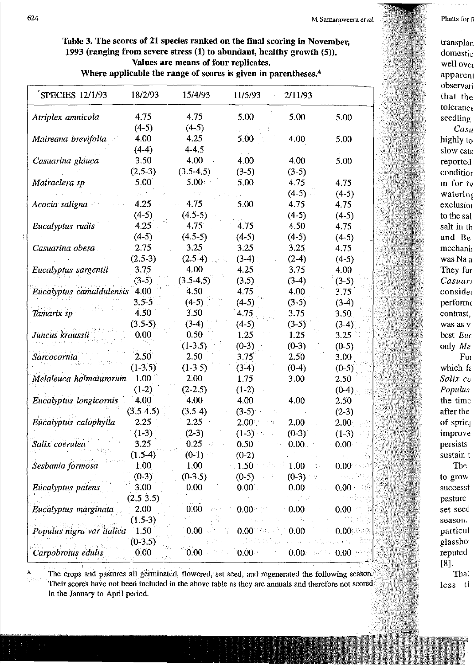# Table 3. The scores of 21 species ranked on the final scoring in November, 1993 (ranging from severe stress (1) to abundant, healtby growth (5)). **Values are means of four replicates.**

| Where applicable the range of scores is given in parentheses. <sup>A</sup> |  |  |  |  |  |
|----------------------------------------------------------------------------|--|--|--|--|--|
|----------------------------------------------------------------------------|--|--|--|--|--|

| SPECIES 12/1/93           | 18/2/93     | 15/4/93     | 11/5/93                    | 2/11/93         |                              |
|---------------------------|-------------|-------------|----------------------------|-----------------|------------------------------|
| Atriplex amnicola         | 4.75        | 4.75        | 5.00                       | 5.00            | 5.00                         |
|                           | $(4-5)$     | $(4-5)$     |                            |                 |                              |
| Maireana brevifolia       | 4.00        | 4.25        | 5.00                       | 4.00            | 5.00                         |
|                           | $(4-4)$     | $4 - 4.5$   |                            |                 |                              |
| Casuarina glauca          | 3.50        | 4.00        | 4.00                       | 4.00            | 5.00                         |
|                           | $(2.5-3)$   | $(3.5-4.5)$ | $(3-5)$                    | $(3-5)$         |                              |
| Mairaclera sp             | 5.00        | 5.00:       | 5.00                       | 4.75            | 4.75                         |
|                           |             |             |                            | $(4-5)$         | $(4-5)$                      |
| Acacia saligna            | 4.25        | 4.75        | 5.00                       | 4.75            | 4.75                         |
|                           | $(4-5)$     | $(4.5-5)$   |                            | $(4-5)$         | $(4-5)$                      |
| Eucalyptus rudis          | 4.25        | 4.75        | 4.75                       | 4.50            | 4.75                         |
|                           | $(4-5)$     | $(4.5-5)$   | $(4-5)$                    | $(4-5)$         | $(4-5)$                      |
| Casuarina obesa           | 2.75        | 3.25        | 3.25                       | 3.25            | 4.75                         |
|                           | $(2.5-3)$   | $(2.5-4)$   | $(3-4)$                    | $(2-4)$         | $(4-5)$                      |
| Eucalyptus sargentii      | 3.75        | 4.00        | 4.25                       | 3.75            | 4.00                         |
|                           | $(3-5)$     | $(3.5-4.5)$ | (3.5)                      | $(3-4)$         | $(3-5)$                      |
| Eucalyptus camaldulensis  | 4.00        | 4.50        | 4.75                       | 4.00            | 3.75                         |
|                           | $3.5 - 5$   | $(4-5)$     | $(4-5)$                    | $(3-5)$         | $(3-4)$                      |
| Tamarix sp                | 4.50        | 3.50        | 4.75                       | 3.75            | 3.50                         |
|                           | $(3.5-5)$   | $(3-4)$     | $(4-5)$                    | $(3-5)$         | $(3-4)$                      |
| Juncus kraussii           | 0.00        | 0.50        | 1.25                       | 1.25            | 3.25                         |
|                           |             | $(1-3.5)$   | $(0-3)$                    | $(0-3)$         | $(0-5)$                      |
| Sarcocornia               | 2.50        | 2.50        | 3.75                       | 2.50            | 3.00                         |
|                           | $(1-3.5)$   | $(1-3.5)$   | $(3-4)$                    | $(0-4)$         | $(0-5)$                      |
| Melaleuca halmaturorum    | 1.00        | 2.00        | 1.75                       | 3.00            | 2.50                         |
|                           | $(1-2)$     | $(2-2.5)$   | $(1-2)$                    |                 | $(0-4)$                      |
| Eucalyptus longicornis    | 4.00        | 4.00        | 4.00                       | 4.00            | 2.50                         |
|                           | $(3.5-4.5)$ | $(3.5-4)$   | $(3-5)$                    |                 | $(2-3)$                      |
| Eucalyptus calophylla     | 2.25        | 2.25        | $2.00 -$<br>大雪             | 2.00            | 2.00 <sub>1</sub>            |
|                           | $(1-3)$     | $(2-3)$     | $(1-3)$                    | $(0-3)$         | $(1-3)$                      |
| Salix coerulea            | 3.25        | 0.25<br>-11 | 0.50                       | $0.00 -$        | $0.00 -$                     |
|                           | $(1.5-4)$   | $(0-1)$     | $(0-2)$                    |                 |                              |
| Sesbania formosa          | 1.00        | 1.00        | 1.50                       | 1.00            | $0.00 -$                     |
|                           | $(0-3)$     | $(0-3.5)$   | $(0-5)$                    | $(0-3)$         |                              |
| Eucalyptus patens         | 3.00        | 0.00        | $0.00 -$                   | 0.00            | 0.00                         |
|                           | $(2.5-3.5)$ |             |                            | jöv P           |                              |
| Eucalyptus marginata      | 2.00        | 0.00        | 0.00                       | 0.00            | $0.00$ and $\pm$             |
|                           | $(1.5-3)$   |             |                            | Webs            |                              |
| Populus nigra var italica | 1.50        | 0.00        | $0.00^{\circ}$<br>1943 e.C | 0.00            | $0.00$ and $\approx$         |
|                           | $(0-3.5)$   |             |                            | <b>たんぼう お気の</b> | us en sida                   |
| Carpobrotus edulis        | 0.00        | 0.00        | $0.00 -$                   |                 | $0.00$ and $0.00$ and $0.00$ |

A

The crops and pastures all germinated, flowered, set seed, and regenerated the following season. 1,932 Their scores have not been included in the above table as they are annuals and therefore not scored in the January to April period.

 $\frac{1}{2}$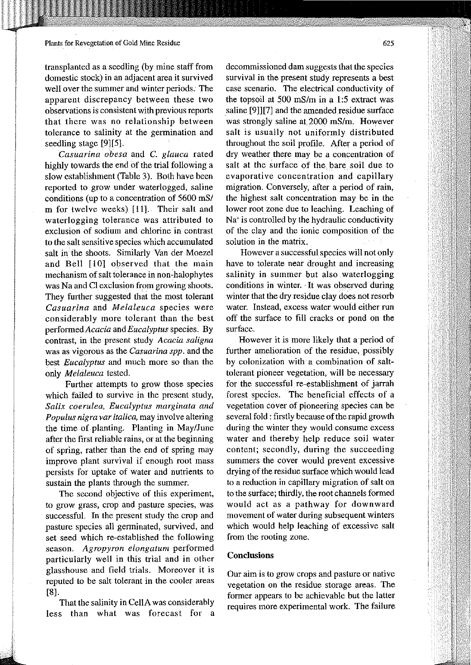#### **Plants for Revegetation of Gold Mine Residue**

transplanted as a seedling (by mine staff from **domestic stock) in an adjacent area it survived well over the summer and winter periods, The apparent discrepancy between these two observations is consistent with previous reports that there was no relationship between tolerance to salinity at the germination and**  seedling stage [9][5].

*Casuarina obesa* **and C.** *glauca* **rated**  highly towards the end of the trial following a slow establishment (Table 3). Both have been **reported to grow under waterlogged, saline**  conditions (up to a concentration of 5600 mS/ in for twelve weeks) [11]. Their salt and **waterlogging tolerance was attributed to exclusion of sodium and chlorine in contrast to the salt sensitive species which accumulated**  salt in the shoots. Similarly Van der Moezel and Bell [10] observed that the main **mechanism of salt tolerance in non-halophytes was Na and Cl exclusion from growing shoots,**  They further suggested that the most tolerant *Casuarina* **and** *Melaleuca* **species were**  considerably more tolerant than the best performed *Acacia* and *Eucalyptus* species. By **contrast, in the present study** *Acacia saligna*  **was as vigorous as the** *Casuarina spp.* **and the**  best *Eucalyptus* and much more so than the only *Melaleuca* tested.

Further attempts to grow those species which failed to survive in the present study, *Salix coerulea, Eucalyptus marginata and Populus nigra var italica.* **may involve altering**  the time of planting. Planting in May/June after the first reliable rains, or at the beginning of spring, rather than the end of spring may **improve plant survival if enough root mass persists for uptake of water and nutrients to**  sustain the plants through the summer.

**The second objective of this experiment, to grow grass, crop and pasture species, was**  successful. In the present study the crop and **pasture species all germinated, survived, and**  set seed which re-established the following **season.** *Agropyron elongatum* **performed**  particularly well in this trial and in other **glasshouse and field trials. Moreover it is reputed to be salt tolerant in the cooler areas**  [8].

That the salinity in CellA was considerably **less than what was forecast for a** 

**decommissioned dam suggests that the species survival in the present study represents a best case scenario, The electrical conductivity of**  the topsoil at 500 mS/m in a 1:5 extract was saline  $[9]$   $[7]$  and the amended residue surface was strongly saline at 2000 mS/m. However salt is usually not uniformly distributed throughout the soil profile. After a period of **dry weather there may be a concentration of**  salt at the surface of the bare soil due to **evaporative concentration and capillary migration. Conversely, after a period of rain,**  the highest salt concentration may be in the **lower root zone due to leaching. Leaching of**  Na+ is controlled by the hydraulic conductivity of the clay and the ionic composition of the **solution in the matrix.** 

**However a successful species will not only have to tolerate near drought and increasing salinity in summer but also waterlogging conditions in winter, -It was observed during**  winter that the dry residue clay does not resorb **water. Instead, excess water would either run**  off the surface to fill cracks or pond on the **surface.** 

**However it is more likely that a period of further amelioration of the residue, possibly by colonization with a combination of salttolerant pioneer vegetation, will be necessary**  for the successful re-establishment of jarrah forest species. The beneficial effects of a **vegetation cover of pioneering species can be**  several fold: firstly because of the rapid growth **during the winter they would consume excess**  water and thereby help reduce soil water **content; secondly, during the succeeding summers the cover wou1d prevent excessive**  drying of the residue surface which would lead **to a reduction in capillary migration of salt on**  to the surface; thirdly, the root channels formed would act as a pathway for downward **movement of water during subsequent winters**  which would help leaching of excessive salt **from the rooting zone,** 

## **Conclusions**

**Our aim is to grow crops and pasture or native vegetation on the residue storage areas. The**  former appears to be achievable but the latter **requires more experimental work. The failure**